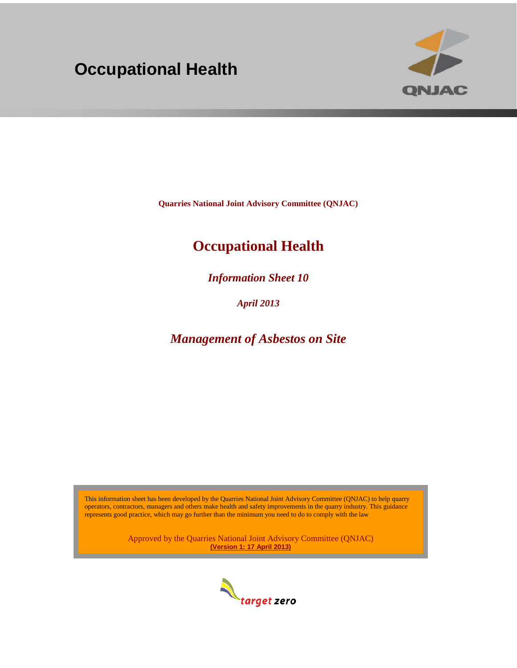# **Occupational Health**



**Quarries National Joint Advisory Committee (QNJAC)**

## **Occupational Health**

*Information Sheet 10*

*April 2013*

*Management of Asbestos on Site*

This information sheet has been developed by the Quarries National Joint Advisory Committee (QNJAC) to help quarry operators, contractors, managers and others make health and safety improvements in the quarry industry. This guidance represents good practice, which may go further than the minimum you need to do to comply with the law

> Approved by the Quarries National Joint Advisory Committee (QNJAC) **(Version 1: 17 April 2013)**

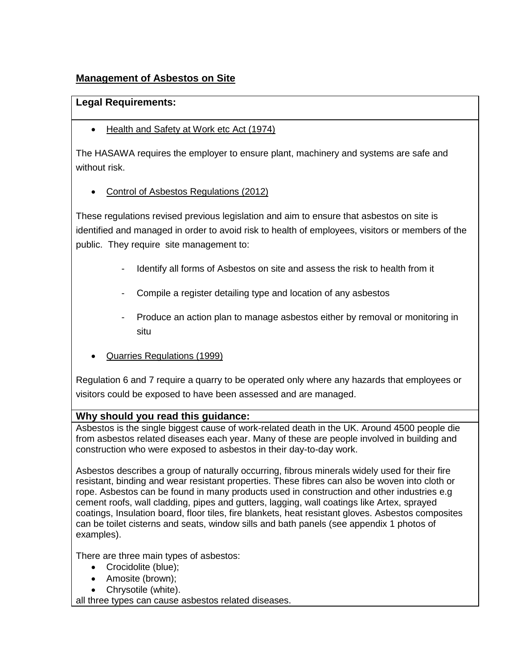## **Management of Asbestos on Site**

## **Legal Requirements:**

• Health and Safety at Work etc Act (1974)

The HASAWA requires the employer to ensure plant, machinery and systems are safe and without risk.

• Control of Asbestos Regulations (2012)

These regulations revised previous legislation and aim to ensure that asbestos on site is identified and managed in order to avoid risk to health of employees, visitors or members of the public. They require site management to:

- Identify all forms of Asbestos on site and assess the risk to health from it
- Compile a register detailing type and location of any asbestos
- Produce an action plan to manage asbestos either by removal or monitoring in situ
- Quarries Regulations (1999)

Regulation 6 and 7 require a quarry to be operated only where any hazards that employees or visitors could be exposed to have been assessed and are managed.

### **Why should you read this guidance:**

Asbestos is the single biggest cause of work-related death in the UK. Around 4500 people die from asbestos related diseases each year. Many of these are people involved in building and construction who were exposed to asbestos in their day-to-day work.

Asbestos describes a group of naturally occurring, fibrous minerals widely used for their fire resistant, binding and wear resistant properties. These fibres can also be woven into cloth or rope. Asbestos can be found in many products used in construction and other industries e.g cement roofs, wall cladding, pipes and gutters, lagging, wall coatings like Artex, sprayed coatings, Insulation board, floor tiles, fire blankets, heat resistant gloves. Asbestos composites can be toilet cisterns and seats, window sills and bath panels (see appendix 1 photos of examples).

There are three main types of asbestos:

- Crocidolite (blue);
- Amosite (brown);
- Chrysotile (white).

all three types can cause asbestos related diseases.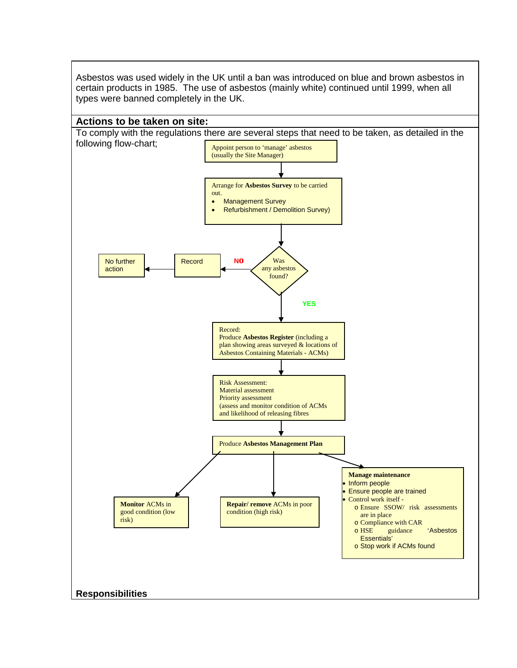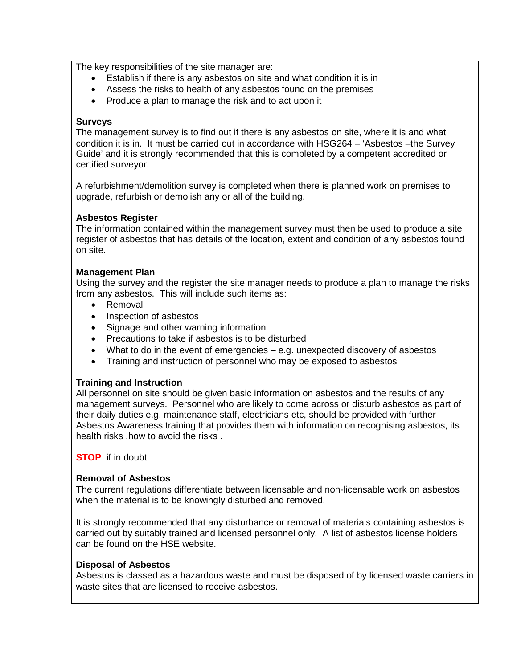The key responsibilities of the site manager are:

- Establish if there is any asbestos on site and what condition it is in
- Assess the risks to health of any asbestos found on the premises
- Produce a plan to manage the risk and to act upon it

#### **Surveys**

The management survey is to find out if there is any asbestos on site, where it is and what condition it is in. It must be carried out in accordance with HSG264 – 'Asbestos –the Survey Guide' and it is strongly recommended that this is completed by a competent accredited or certified surveyor.

A refurbishment/demolition survey is completed when there is planned work on premises to upgrade, refurbish or demolish any or all of the building.

#### **Asbestos Register**

The information contained within the management survey must then be used to produce a site register of asbestos that has details of the location, extent and condition of any asbestos found on site.

#### **Management Plan**

Using the survey and the register the site manager needs to produce a plan to manage the risks from any asbestos. This will include such items as:

- Removal
- Inspection of asbestos
- Signage and other warning information
- Precautions to take if asbestos is to be disturbed
- What to do in the event of emergencies e.g. unexpected discovery of asbestos
- Training and instruction of personnel who may be exposed to asbestos

#### **Training and Instruction**

All personnel on site should be given basic information on asbestos and the results of any management surveys. Personnel who are likely to come across or disturb asbestos as part of their daily duties e.g. maintenance staff, electricians etc, should be provided with further Asbestos Awareness training that provides them with information on recognising asbestos, its health risks ,how to avoid the risks .

**STOP** if in doubt

#### **Removal of Asbestos**

The current regulations differentiate between licensable and non-licensable work on asbestos when the material is to be knowingly disturbed and removed.

It is strongly recommended that any disturbance or removal of materials containing asbestos is carried out by suitably trained and licensed personnel only. A list of asbestos license holders can be found on the HSE website.

#### **Disposal of Asbestos**

Asbestos is classed as a hazardous waste and must be disposed of by licensed waste carriers in waste sites that are licensed to receive asbestos.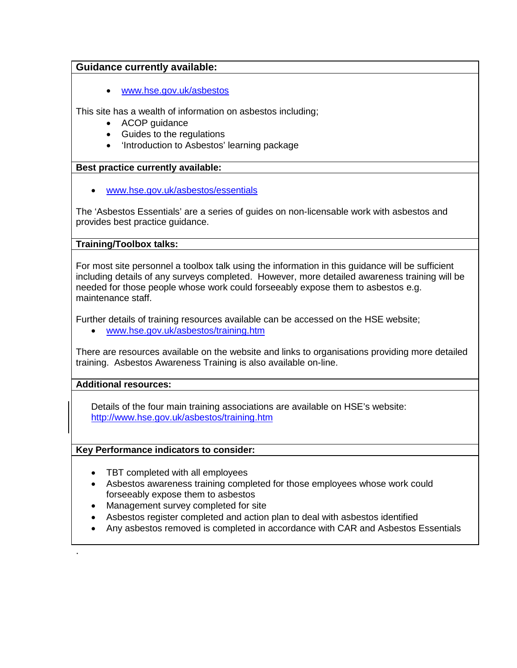## **Guidance currently available:**

• [www.hse.gov.uk/asbestos](http://www.hse.gov.uk/asbestos)

This site has a wealth of information on asbestos including;

- ACOP guidance
- Guides to the regulations
- 'Introduction to Asbestos' learning package

#### **Best practice currently available:**

• [www.hse.gov.uk/asbestos/essentials](http://www.hse.gov.uk/asbestos/essentials)

The 'Asbestos Essentials' are a series of guides on non-licensable work with asbestos and provides best practice guidance.

#### **Training/Toolbox talks:**

For most site personnel a toolbox talk using the information in this guidance will be sufficient including details of any surveys completed. However, more detailed awareness training will be needed for those people whose work could forseeably expose them to asbestos e.g. maintenance staff.

Further details of training resources available can be accessed on the HSE website;

• [www.hse.gov.uk/asbestos/training.htm](http://www.hse.gov.uk/asbestos/training.htm)

There are resources available on the website and links to organisations providing more detailed training. Asbestos Awareness Training is also available on-line.

#### **Additional resources:**

.

Details of the four main training associations are available on HSE's website: http://www.hse.gov.uk/asbestos/training.htm

#### **Key Performance indicators to consider:**

- TBT completed with all employees
- Asbestos awareness training completed for those employees whose work could forseeably expose them to asbestos
- Management survey completed for site
- Asbestos register completed and action plan to deal with asbestos identified
- Any asbestos removed is completed in accordance with CAR and Asbestos Essentials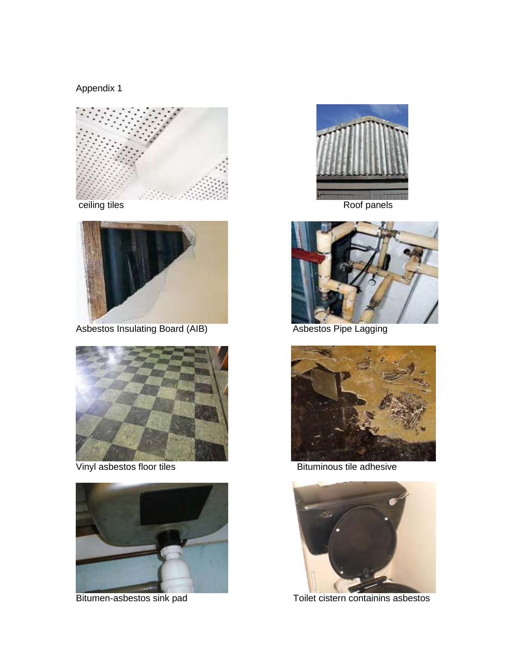Appendix 1





Asbestos Insulating Board (AIB) Manuscriptus Asbestos Pipe Lagging



Vinyl asbestos floor tiles **Bituminous tile adhesive** 









Bitumen-asbestos sink pad Toilet cistern containins asbestos